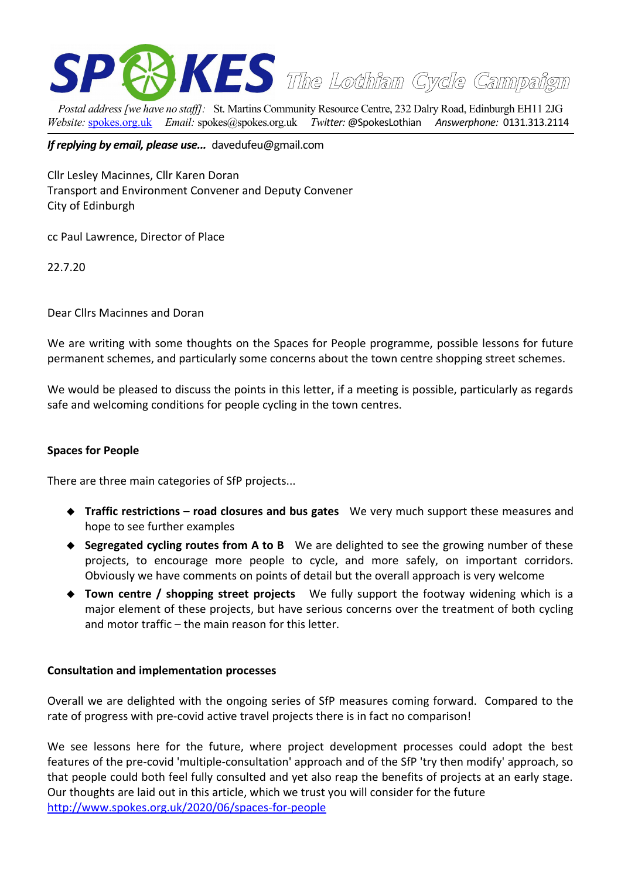

*Postal address [we have no staff]:* St. Martins Community Resource Centre, 232 Dalry Road, Edinburgh EH11 2JG *Website:* [spokes.org.uk](http://www.spokes.org.uk/) *Email:* [spokes@spokes.org.uk](mailto:spokes@spokes.org.uk) *Twitter:* @SpokesLothian *Answerphone:* 0131.313.2114

*If replying by email, please use...* davedufeu@gmail.com

Cllr Lesley Macinnes, Cllr Karen Doran Transport and Environment Convener and Deputy Convener City of Edinburgh

cc Paul Lawrence, Director of Place

22.7.20

Dear Cllrs Macinnes and Doran

We are writing with some thoughts on the Spaces for People programme, possible lessons for future permanent schemes, and particularly some concerns about the town centre shopping street schemes.

We would be pleased to discuss the points in this letter, if a meeting is possible, particularly as regards safe and welcoming conditions for people cycling in the town centres.

#### **Spaces for People**

There are three main categories of SfP projects...

- **Traffic restrictions road closures and bus gates** We very much support these measures and hope to see further examples
- **Segregated cycling routes from A to B** We are delighted to see the growing number of these projects, to encourage more people to cycle, and more safely, on important corridors. Obviously we have comments on points of detail but the overall approach is very welcome
- **Town centre / shopping street projects** We fully support the footway widening which is a major element of these projects, but have serious concerns over the treatment of both cycling and motor traffic – the main reason for this letter.

#### **Consultation and implementation processes**

Overall we are delighted with the ongoing series of SfP measures coming forward. Compared to the rate of progress with pre-covid active travel projects there is in fact no comparison!

We see lessons here for the future, where project development processes could adopt the best features of the pre-covid 'multiple-consultation' approach and of the SfP 'try then modify' approach, so that people could both feel fully consulted and yet also reap the benefits of projects at an early stage. Our thoughts are laid out in this article, which we trust you will consider for the future <http://www.spokes.org.uk/2020/06/spaces-for-people>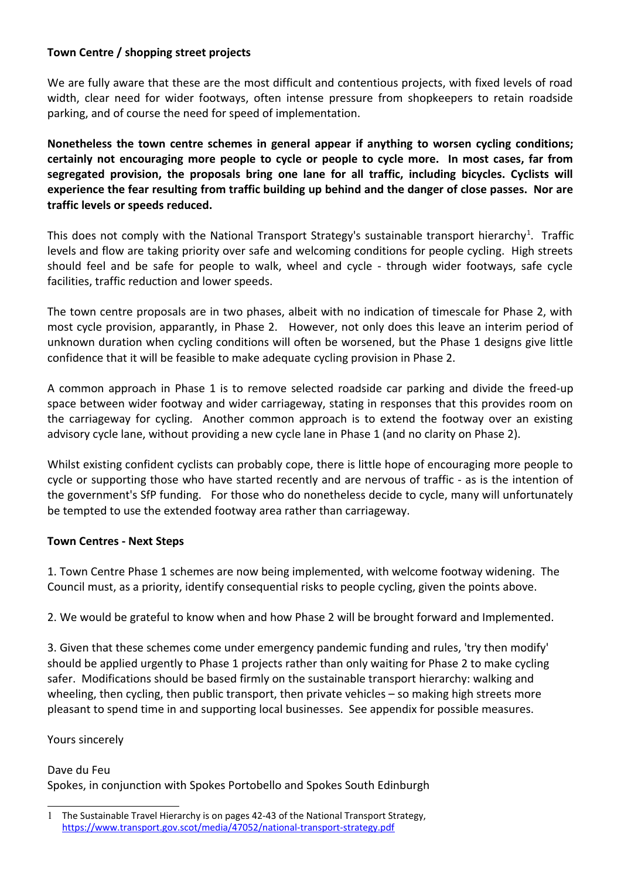## **Town Centre / shopping street projects**

We are fully aware that these are the most difficult and contentious projects, with fixed levels of road width, clear need for wider footways, often intense pressure from shopkeepers to retain roadside parking, and of course the need for speed of implementation.

**Nonetheless the town centre schemes in general appear if anything to worsen cycling conditions; certainly not encouraging more people to cycle or people to cycle more. In most cases, far from segregated provision, the proposals bring one lane for all traffic, including bicycles. Cyclists will experience the fear resulting from traffic building up behind and the danger of close passes. Nor are traffic levels or speeds reduced.**

This does not comply with the National Transport Strategy's sustainable transport hierarchy<sup>[1](#page-1-0)</sup>. Traffic levels and flow are taking priority over safe and welcoming conditions for people cycling. High streets should feel and be safe for people to walk, wheel and cycle - through wider footways, safe cycle facilities, traffic reduction and lower speeds.

The town centre proposals are in two phases, albeit with no indication of timescale for Phase 2, with most cycle provision, apparantly, in Phase 2. However, not only does this leave an interim period of unknown duration when cycling conditions will often be worsened, but the Phase 1 designs give little confidence that it will be feasible to make adequate cycling provision in Phase 2.

A common approach in Phase 1 is to remove selected roadside car parking and divide the freed-up space between wider footway and wider carriageway, stating in responses that this provides room on the carriageway for cycling. Another common approach is to extend the footway over an existing advisory cycle lane, without providing a new cycle lane in Phase 1 (and no clarity on Phase 2).

Whilst existing confident cyclists can probably cope, there is little hope of encouraging more people to cycle or supporting those who have started recently and are nervous of traffic - as is the intention of the government's SfP funding. For those who do nonetheless decide to cycle, many will unfortunately be tempted to use the extended footway area rather than carriageway.

### **Town Centres - Next Steps**

1. Town Centre Phase 1 schemes are now being implemented, with welcome footway widening. The Council must, as a priority, identify consequential risks to people cycling, given the points above.

2. We would be grateful to know when and how Phase 2 will be brought forward and Implemented.

3. Given that these schemes come under emergency pandemic funding and rules, 'try then modify' should be applied urgently to Phase 1 projects rather than only waiting for Phase 2 to make cycling safer. Modifications should be based firmly on the sustainable transport hierarchy: walking and wheeling, then cycling, then public transport, then private vehicles – so making high streets more pleasant to spend time in and supporting local businesses. See appendix for possible measures.

### Yours sincerely

### Dave du Feu

Spokes, in conjunction with Spokes Portobello and Spokes South Edinburgh

<span id="page-1-0"></span><sup>1</sup> The Sustainable Travel Hierarchy is on pages 42-43 of the National Transport Strategy, <https://www.transport.gov.scot/media/47052/national-transport-strategy.pdf>